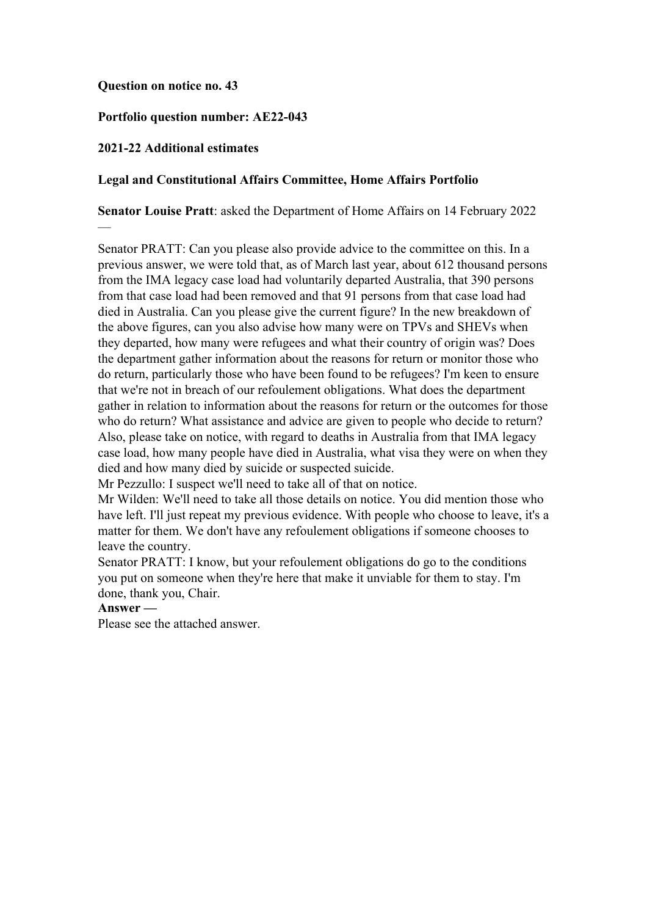## **Question on notice no. 43**

## **Portfolio question number: AE22-043**

## **2021-22 Additional estimates**

—

## **Legal and Constitutional Affairs Committee, Home Affairs Portfolio**

## **Senator Louise Pratt**: asked the Department of Home Affairs on 14 February 2022

Senator PRATT: Can you please also provide advice to the committee on this. In a previous answer, we were told that, as of March last year, about 612 thousand persons from the IMA legacy case load had voluntarily departed Australia, that 390 persons from that case load had been removed and that 91 persons from that case load had died in Australia. Can you please give the current figure? In the new breakdown of the above figures, can you also advise how many were on TPVs and SHEVs when they departed, how many were refugees and what their country of origin was? Does the department gather information about the reasons for return or monitor those who do return, particularly those who have been found to be refugees? I'm keen to ensure that we're not in breach of our refoulement obligations. What does the department gather in relation to information about the reasons for return or the outcomes for those who do return? What assistance and advice are given to people who decide to return? Also, please take on notice, with regard to deaths in Australia from that IMA legacy case load, how many people have died in Australia, what visa they were on when they died and how many died by suicide or suspected suicide.

Mr Pezzullo: I suspect we'll need to take all of that on notice.

Mr Wilden: We'll need to take all those details on notice. You did mention those who have left. I'll just repeat my previous evidence. With people who choose to leave, it's a matter for them. We don't have any refoulement obligations if someone chooses to leave the country.

Senator PRATT: I know, but your refoulement obligations do go to the conditions you put on someone when they're here that make it unviable for them to stay. I'm done, thank you, Chair.

## **Answer —**

Please see the attached answer.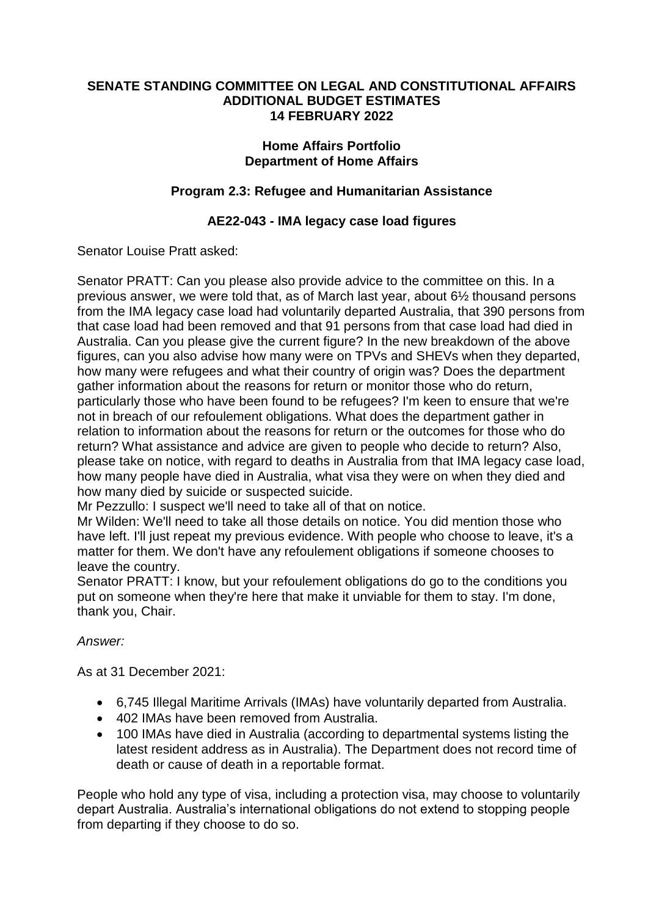## **SENATE STANDING COMMITTEE ON LEGAL AND CONSTITUTIONAL AFFAIRS ADDITIONAL BUDGET ESTIMATES 14 FEBRUARY 2022**

## **Home Affairs Portfolio Department of Home Affairs**

# **Program 2.3: Refugee and Humanitarian Assistance**

# **AE22-043 - IMA legacy case load figures**

## Senator Louise Pratt asked:

Senator PRATT: Can you please also provide advice to the committee on this. In a previous answer, we were told that, as of March last year, about 6½ thousand persons from the IMA legacy case load had voluntarily departed Australia, that 390 persons from that case load had been removed and that 91 persons from that case load had died in Australia. Can you please give the current figure? In the new breakdown of the above figures, can you also advise how many were on TPVs and SHEVs when they departed, how many were refugees and what their country of origin was? Does the department gather information about the reasons for return or monitor those who do return, particularly those who have been found to be refugees? I'm keen to ensure that we're not in breach of our refoulement obligations. What does the department gather in relation to information about the reasons for return or the outcomes for those who do return? What assistance and advice are given to people who decide to return? Also, please take on notice, with regard to deaths in Australia from that IMA legacy case load, how many people have died in Australia, what visa they were on when they died and how many died by suicide or suspected suicide.

Mr Pezzullo: I suspect we'll need to take all of that on notice.

Mr Wilden: We'll need to take all those details on notice. You did mention those who have left. I'll just repeat my previous evidence. With people who choose to leave, it's a matter for them. We don't have any refoulement obligations if someone chooses to leave the country.

Senator PRATT: I know, but your refoulement obligations do go to the conditions you put on someone when they're here that make it unviable for them to stay. I'm done, thank you, Chair.

# *Answer:*

As at 31 December 2021:

- 6,745 Illegal Maritime Arrivals (IMAs) have voluntarily departed from Australia.
- 402 IMAs have been removed from Australia.
- 100 IMAs have died in Australia (according to departmental systems listing the latest resident address as in Australia). The Department does not record time of death or cause of death in a reportable format.

People who hold any type of visa, including a protection visa, may choose to voluntarily depart Australia. Australia's international obligations do not extend to stopping people from departing if they choose to do so.